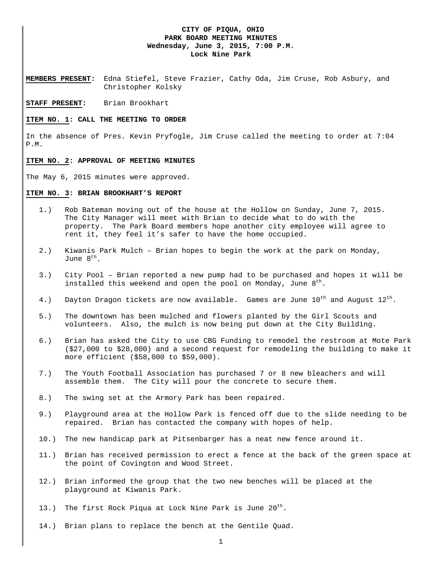### **CITY OF PIQUA, OHIO PARK BOARD MEETING MINUTES Wednesday, June 3, 2015, 7:00 P.M. Lock Nine Park**

**MEMBERS PRESENT:** Edna Stiefel, Steve Frazier, Cathy Oda, Jim Cruse, Rob Asbury, and Christopher Kolsky

**STAFF PRESENT:** Brian Brookhart

#### **ITEM NO. 1: CALL THE MEETING TO ORDER**

In the absence of Pres. Kevin Pryfogle, Jim Cruse called the meeting to order at 7:04 P.M.

#### **ITEM NO. 2: APPROVAL OF MEETING MINUTES**

The May 6, 2015 minutes were approved.

#### **ITEM NO. 3: BRIAN BROOKHART'S REPORT**

- 1.) Rob Bateman moving out of the house at the Hollow on Sunday, June 7, 2015. The City Manager will meet with Brian to decide what to do with the property. The Park Board members hope another city employee will agree to rent it, they feel it's safer to have the home occupied.
- 2.) Kiwanis Park Mulch Brian hopes to begin the work at the park on Monday, June 8<sup>th</sup>.
- 3.) City Pool Brian reported a new pump had to be purchased and hopes it will be installed this weekend and open the pool on Monday, June  $8<sup>tn</sup>$ .
- 4.) Dayton Dragon tickets are now available. Games are June  $10^{th}$  and August  $12^{th}$ .
- 5.) The downtown has been mulched and flowers planted by the Girl Scouts and volunteers. Also, the mulch is now being put down at the City Building.
- 6.) Brian has asked the City to use CBG Funding to remodel the restroom at Mote Park (\$27,000 to \$28,000) and a second request for remodeling the building to make it more efficient (\$58,000 to \$59,000).
- 7.) The Youth Football Association has purchased 7 or 8 new bleachers and will assemble them. The City will pour the concrete to secure them.
- 8.) The swing set at the Armory Park has been repaired.
- 9.) Playground area at the Hollow Park is fenced off due to the slide needing to be repaired. Brian has contacted the company with hopes of help.
- 10.) The new handicap park at Pitsenbarger has a neat new fence around it.
- 11.) Brian has received permission to erect a fence at the back of the green space at the point of Covington and Wood Street.
- 12.) Brian informed the group that the two new benches will be placed at the playground at Kiwanis Park.
- 13.) The first Rock Piqua at Lock Nine Park is June  $20^{th}$ .
- 14.) Brian plans to replace the bench at the Gentile Quad.